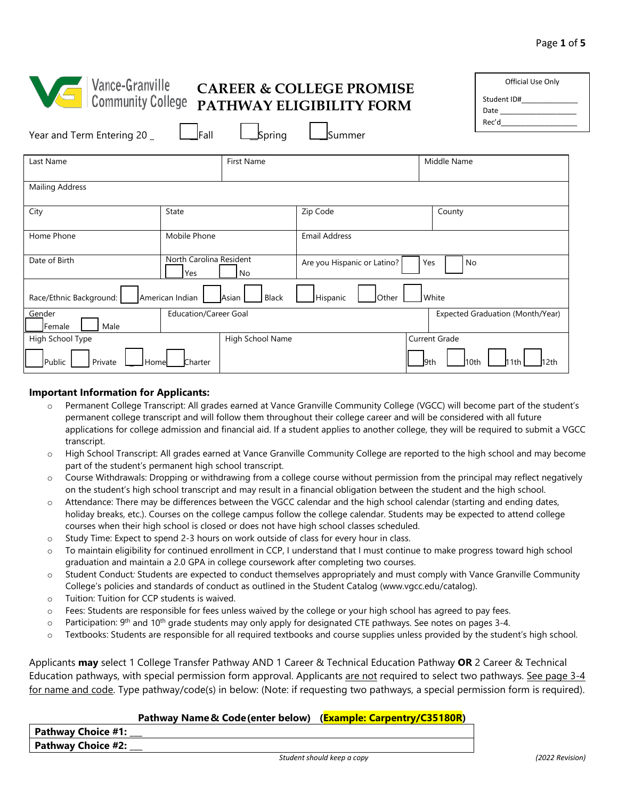| Vance-Granville<br>Discommunity College<br>Year and Term Entering 20 _ | $I$ Fall<br><b>Spring</b>                          | <b>CAREER &amp; COLLEGE PROMISE</b><br>PATHWAY ELIGIBILITY FORM<br>Summer | Official Use Only<br>Student ID#________________ |
|------------------------------------------------------------------------|----------------------------------------------------|---------------------------------------------------------------------------|--------------------------------------------------|
| Last Name                                                              | First Name                                         |                                                                           | Middle Name                                      |
| <b>Mailing Address</b>                                                 |                                                    |                                                                           |                                                  |
| City                                                                   | <b>State</b>                                       | Zip Code                                                                  | County                                           |
| Home Phone                                                             | Mobile Phone                                       | <b>Email Address</b>                                                      |                                                  |
| Date of Birth                                                          | North Carolina Resident<br><b>Yes</b><br><b>No</b> | Are you Hispanic or Latino?                                               | Yes<br>No                                        |
| Race/Ethnic Background:                                                | American Indian<br>Asian<br>Black                  | Other<br>Hispanic                                                         | White                                            |
| Gender<br>Male<br>Female                                               | <b>Education/Career Goal</b>                       |                                                                           | Expected Graduation (Month/Year)                 |
| High School Type                                                       | High School Name                                   |                                                                           | <b>Current Grade</b>                             |
| Public<br>Private                                                      | <b>Homel</b><br>Charter                            |                                                                           | l9th<br>10th<br>11th<br>12th                     |

#### **Important Information for Applicants:**

Public Private LHome Charter

- o Permanent College Transcript: All grades earned at Vance Granville Community College (VGCC) will become part of the student's permanent college transcript and will follow them throughout their college career and will be considered with all future applications for college admission and financial aid. If a student applies to another college, they will be required to submit a VGCC transcript.
- o High School Transcript: All grades earned at Vance Granville Community College are reported to the high school and may become part of the student's permanent high school transcript.
- o Course Withdrawals: Dropping or withdrawing from a college course without permission from the principal may reflect negatively on the student's high school transcript and may result in a financial obligation between the student and the high school.
- $\circ$  Attendance: There may be differences between the VGCC calendar and the high school calendar (starting and ending dates, holiday breaks, etc.). Courses on the college campus follow the college calendar. Students may be expected to attend college courses when their high school is closed or does not have high school classes scheduled.
- o Study Time: Expect to spend 2-3 hours on work outside of class for every hour in class.
- o To maintain eligibility for continued enrollment in CCP, I understand that I must continue to make progress toward high school graduation and maintain a 2.0 GPA in college coursework after completing two courses.
- o Student Conduct*:* Students are expected to conduct themselves appropriately and must comply with Vance Granville Community College's policies and standards of conduct as outlined in the Student Catalog [\(www.vgcc.edu/catalog](www.vgcc.edu/catalog)).
- o Tuition: Tuition for CCP students is waived.
- o Fees: Students are responsible for fees unless waived by the college or your high school has agreed to pay fees.
- $\circ$  Participation: 9<sup>th</sup> and 10<sup>th</sup> grade students may only apply for designated CTE pathways. See notes on pages 3-4.
- o Textbooks: Students are responsible for all required textbooks and course supplies unless provided by the student's high school.

Applicants **may** select 1 College Transfer Pathway AND 1 Career & Technical Education Pathway **OR** 2 Career & Technical Education pathways, with special permission form approval. Applicants are not required to select two pathways. See page 3-4 for name and code. Type pathway/code(s) in below: (Note: if requesting two pathways, a special permission form is required).

### **Pathway Name & Code(enter below) (Example: Carpentry/C35180R)**

**Pathway Choice #1: Pathway Choice #2:**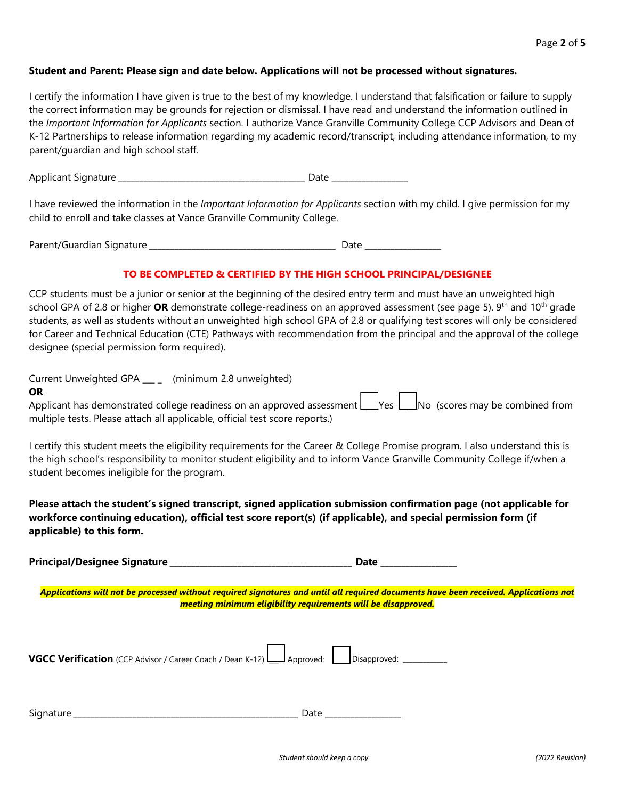### **Student and Parent: Please sign and date below. Applications will not be processed without signatures.**

I certify the information I have given is true to the best of my knowledge. I understand that falsification or failure to supply the correct information may be grounds for rejection or dismissal. I have read and understand the information outlined in the *Important Information for Applicants* section. I authorize Vance Granville Community College CCP Advisors and Dean of K-12 Partnerships to release information regarding my academic record/transcript, including attendance information, to my parent/guardian and high school staff.

Applicant Signature *\_\_\_\_\_\_\_\_\_\_\_\_\_\_\_\_\_\_\_\_\_\_\_\_\_\_\_\_\_\_\_\_\_\_\_\_\_\_\_\_\_\_\_\_* Date \_\_\_\_\_\_\_\_\_\_\_\_\_\_\_\_\_\_

 I have reviewed the information in the *Important Information for Applicants* section with my child. I give permission for my child to enroll and take classes at Vance Granville Community College.

Parent/Guardian Signature *\_\_\_\_\_\_\_\_\_\_\_\_\_\_\_\_\_\_\_\_\_\_\_\_\_\_\_\_\_\_\_\_\_\_\_\_\_\_\_\_\_\_\_\_* Date \_\_\_\_\_\_\_\_\_\_\_\_\_\_\_\_\_\_

## **TO BE COMPLETED & CERTIFIED BY THE HIGH SCHOOL PRINCIPAL/DESIGNEE**

school GPA of 2.8 or higher **OR** demonstrate college-readiness on an approved assessment (see page 5). 9<sup>th</sup> and 10<sup>th</sup> grade CCP students must be a junior or senior at the beginning of the desired entry term and must have an unweighted high students, as well as students without an unweighted high school GPA of 2.8 or qualifying test scores will only be considered for Career and Technical Education (CTE) Pathways with recommendation from the principal and the approval of the college designee (special permission form required).

Current Unweighted GPA \_\_\_ \_ (minimum 2.8 unweighted)

#### **OR**

Applicant has demonstrated college readiness on an approved assessment Leaves Leano (scores may be combined from multiple tests. Please attach all applicable, official test score reports.)

I certify this student meets the eligibility requirements for the Career & College Promise program. I also understand this is the high school's responsibility to monitor student eligibility and to inform Vance Granville Community College if/when a student becomes ineligible for the program.

**Please attach the student's signed transcript, signed application submission confirmation page (not applicable for workforce continuing education), official test score report(s) (if applicable), and special permission form (if applicable) to this form.** 

**Principal/Designee Signature** *\_\_\_\_\_\_\_\_\_\_\_\_\_\_\_\_\_\_\_\_\_\_\_\_\_\_\_\_\_\_\_\_\_\_\_\_\_\_\_\_\_\_\_* **Date** \_\_\_\_\_\_\_\_\_\_\_\_\_\_\_\_\_\_

*Applications will not be processed without required signatures and until all required documents have been received. Applications not meeting minimum eligibility requirements will be disapproved.* 

|--|--|--|--|--|--|

| $\overline{\phantom{a}}$<br>$\overline{\phantom{a}}$<br>اد<br>,,,,, | _ |
|---------------------------------------------------------------------|---|
|                                                                     |   |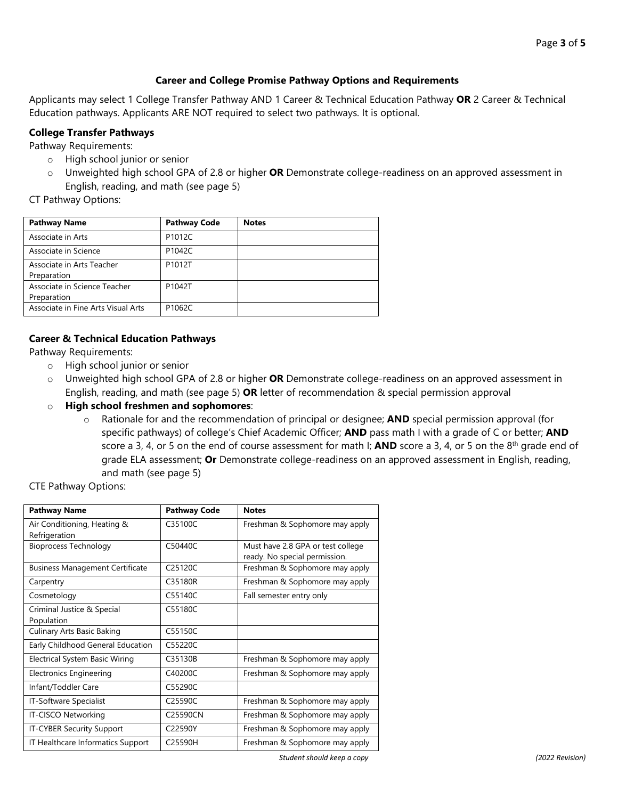### **Career and College Promise Pathway Options and Requirements**

Applicants may select 1 College Transfer Pathway AND 1 Career & Technical Education Pathway **OR** 2 Career & Technical Education pathways. Applicants ARE NOT required to select two pathways. It is optional.

#### **College Transfer Pathways**

Pathway Requirements:

- o High school junior or senior
- o Unweighted high school GPA of 2.8 or higher **OR** Demonstrate college-readiness on an approved assessment in English, reading, and math (see page 5)

# CT Pathway Options:

| <b>Pathway Name</b>                | <b>Pathway Code</b> | <b>Notes</b> |
|------------------------------------|---------------------|--------------|
| Associate in Arts                  | P1012C              |              |
| Associate in Science               | P1042C              |              |
| Associate in Arts Teacher          | P1012T              |              |
| Preparation                        |                     |              |
| Associate in Science Teacher       | P1042T              |              |
| Preparation                        |                     |              |
| Associate in Fine Arts Visual Arts | P1062C              |              |

### **Career & Technical Education Pathways**

Pathway Requirements:

- o High school junior or senior
- o Unweighted high school GPA of 2.8 or higher **OR** Demonstrate college-readiness on an approved assessment in English, reading, and math (see page 5) **OR** letter of recommendation & special permission approval
- o **High school freshmen and sophomores**:
	- o Rationale for and the recommendation of principal or designee; **AND** special permission approval (for specific pathways) of college's Chief Academic Officer; **AND** pass math I with a grade of C or better; **AND**  score a 3, 4, or 5 on the end of course assessment for math I; **AND** score a 3, 4, or 5 on the 8th grade end of grade ELA assessment; **Or** Demonstrate college-readiness on an approved assessment in English, reading, and math (see page 5)

CTE Pathway Options:

| <b>Pathway Name</b>                    | <b>Pathway Code</b>  | <b>Notes</b>                      |  |  |  |
|----------------------------------------|----------------------|-----------------------------------|--|--|--|
| Air Conditioning, Heating &            | C35100C              | Freshman & Sophomore may apply    |  |  |  |
| Refrigeration                          |                      |                                   |  |  |  |
| <b>Bioprocess Technology</b>           | C50440C              | Must have 2.8 GPA or test college |  |  |  |
|                                        |                      | ready. No special permission.     |  |  |  |
| <b>Business Management Certificate</b> | C <sub>25120</sub> C | Freshman & Sophomore may apply    |  |  |  |
| Carpentry                              | C35180R              | Freshman & Sophomore may apply    |  |  |  |
| Cosmetology                            | C55140C              | Fall semester entry only          |  |  |  |
| Criminal Justice & Special             | C55180C              |                                   |  |  |  |
| Population                             |                      |                                   |  |  |  |
| Culinary Arts Basic Baking             | C55150C              |                                   |  |  |  |
| Early Childhood General Education      | C55220C              |                                   |  |  |  |
| Electrical System Basic Wiring         | C35130B              | Freshman & Sophomore may apply    |  |  |  |
| Electronics Engineering                | C40200C              | Freshman & Sophomore may apply    |  |  |  |
| Infant/Toddler Care                    | C55290C              |                                   |  |  |  |
| IT-Software Specialist                 | C25590C              | Freshman & Sophomore may apply    |  |  |  |
| IT-CISCO Networking                    | C25590CN             | Freshman & Sophomore may apply    |  |  |  |
| IT-CYBER Security Support              | C22590Y              | Freshman & Sophomore may apply    |  |  |  |
| IT Healthcare Informatics Support      | C25590H              | Freshman & Sophomore may apply    |  |  |  |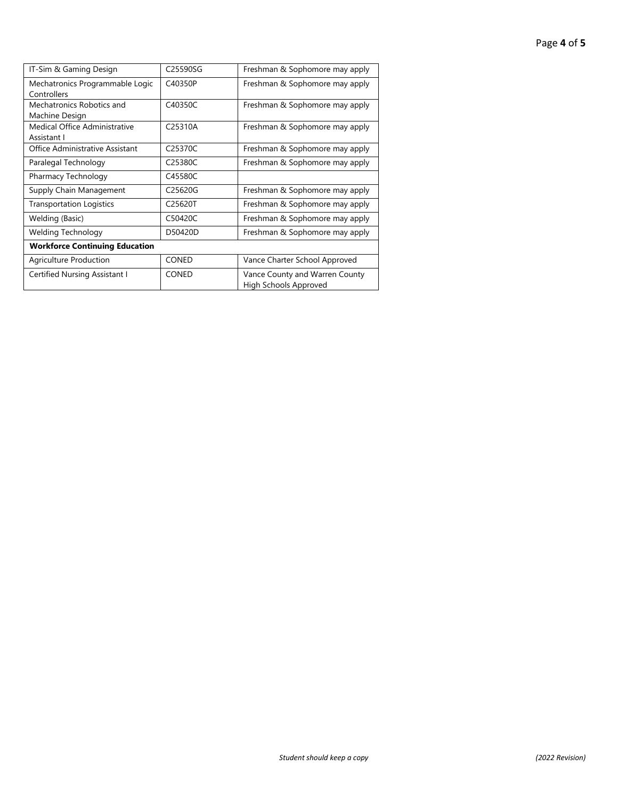| IT-Sim & Gaming Design                         | C25590SG             | Freshman & Sophomore may apply                          |  |  |  |  |
|------------------------------------------------|----------------------|---------------------------------------------------------|--|--|--|--|
| Mechatronics Programmable Logic<br>Controllers | C40350P              | Freshman & Sophomore may apply                          |  |  |  |  |
| Mechatronics Robotics and<br>Machine Design    | C40350C              | Freshman & Sophomore may apply                          |  |  |  |  |
| Medical Office Administrative<br>Assistant I   | C25310A              | Freshman & Sophomore may apply                          |  |  |  |  |
| Office Administrative Assistant                | C <sub>25370</sub> C | Freshman & Sophomore may apply                          |  |  |  |  |
| Paralegal Technology                           | C25380C              | Freshman & Sophomore may apply                          |  |  |  |  |
| Pharmacy Technology                            | C45580C              |                                                         |  |  |  |  |
| Supply Chain Management                        | C25620G              | Freshman & Sophomore may apply                          |  |  |  |  |
| <b>Transportation Logistics</b>                | C25620T              | Freshman & Sophomore may apply                          |  |  |  |  |
| Welding (Basic)                                | C50420C              | Freshman & Sophomore may apply                          |  |  |  |  |
| Welding Technology                             | D50420D              | Freshman & Sophomore may apply                          |  |  |  |  |
| <b>Workforce Continuing Education</b>          |                      |                                                         |  |  |  |  |
| Agriculture Production                         | <b>CONED</b>         | Vance Charter School Approved                           |  |  |  |  |
| Certified Nursing Assistant I                  | <b>CONED</b>         | Vance County and Warren County<br>High Schools Approved |  |  |  |  |